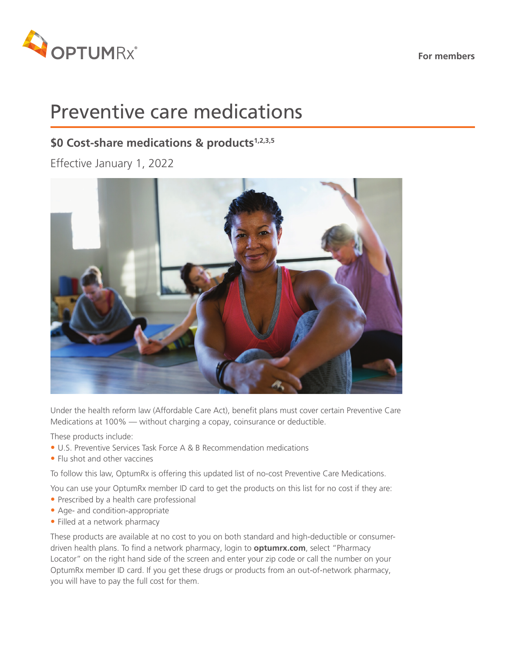**For members**



# Preventive care medications

### \$0 Cost-share medications & products<sup>1,2,3,5</sup>

Effective January 1, 2022



Under the health reform law (Affordable Care Act), benefit plans must cover certain Preventive Care Medications at 100% — without charging a copay, coinsurance or deductible.

These products include:

- U.S. Preventive Services Task Force A & B Recommendation medications
- Flu shot and other vaccines

To follow this law, OptumRx is offering this updated list of no-cost Preventive Care Medications.

You can use your OptumRx member ID card to get the products on this list for no cost if they are:

- Prescribed by a health care professional
- Age- and condition-appropriate
- Filled at a network pharmacy

These products are available at no cost to you on both standard and high-deductible or consumerdriven health plans. To find a network pharmacy, login to **optumrx.com**, select "Pharmacy Locator" on the right hand side of the screen and enter your zip code or call the number on your OptumRx member ID card. If you get these drugs or products from an out-of-network pharmacy, you will have to pay the full cost for them.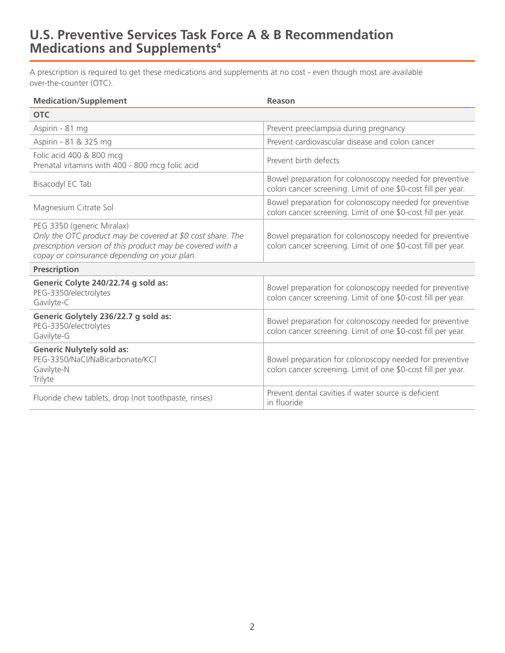### **U.S. Preventive Services Task Force A & B Recommendation Medications and Supplements4**

A prescription is required to get these medications and supplements at no cost - even though most are available over-the-counter (OTC).

| <b>Medication/Supplement</b>                                                                                                                                                                           | Reason                                                                                                                  |
|--------------------------------------------------------------------------------------------------------------------------------------------------------------------------------------------------------|-------------------------------------------------------------------------------------------------------------------------|
| <b>OTC</b>                                                                                                                                                                                             |                                                                                                                         |
| Aspirin - 81 mg                                                                                                                                                                                        | Prevent preeclampsia during pregnancy                                                                                   |
| Aspirin - 81 & 325 mg                                                                                                                                                                                  | Prevent cardiovascular disease and colon cancer                                                                         |
| Folic acid 400 & 800 mcg<br>Prenatal vitamins with 400 - 800 mcg folic acid                                                                                                                            | Prevent birth defects                                                                                                   |
| Bisacodyl EC Tab                                                                                                                                                                                       | Bowel preparation for colonoscopy needed for preventive<br>colon cancer screening. Limit of one \$0-cost fill per year. |
| Magnesium Citrate Sol                                                                                                                                                                                  | Bowel preparation for colonoscopy needed for preventive<br>colon cancer screening. Limit of one \$0-cost fill per year. |
| PEG 3350 (generic Miralax)<br>Only the OTC product may be covered at \$0 cost share. The<br>prescription version of this product may be covered with a<br>copay or coinsurance depending on your plan. | Bowel preparation for colonoscopy needed for preventive<br>colon cancer screening. Limit of one \$0-cost fill per year. |
| <b>Prescription</b>                                                                                                                                                                                    |                                                                                                                         |
| Generic Colyte 240/22.74 g sold as:<br>PEG-3350/electrolytes<br>Gavilyte-C                                                                                                                             | Bowel preparation for colonoscopy needed for preventive<br>colon cancer screening. Limit of one \$0-cost fill per year. |
| Generic Golytely 236/22.7 g sold as:<br>PEG-3350/electrolytes<br>Gavilyte-G                                                                                                                            | Bowel preparation for colonoscopy needed for preventive<br>colon cancer screening. Limit of one \$0-cost fill per year. |
| <b>Generic Nulytely sold as:</b><br>PEG-3350/NaCl/NaBicarbonate/KCl<br>Gavilyte-N<br>Trilyte                                                                                                           | Bowel preparation for colonoscopy needed for preventive<br>colon cancer screening. Limit of one \$0-cost fill per year. |
| Fluoride chew tablets, drop (not toothpaste, rinses)                                                                                                                                                   | Prevent dental cavities if water source is deficient<br>in fluoride                                                     |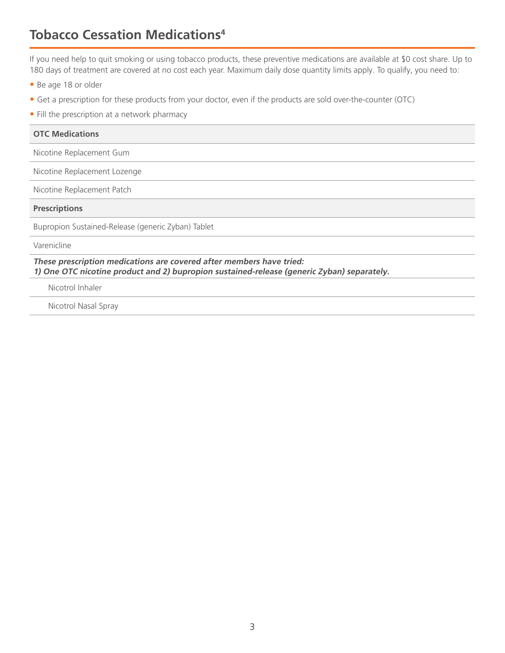# **Tobacco Cessation Medications4**

If you need help to quit smoking or using tobacco products, these preventive medications are available at \$0 cost share. Up to 180 days of treatment are covered at no cost each year. Maximum daily dose quantity limits apply. To qualify, you need to:

- Be age 18 or older
- Get a prescription for these products from your doctor, even if the products are sold over-the-counter (OTC)
- Fill the prescription at a network pharmacy

| <b>OTC Medications</b>                                                                                                                                             |
|--------------------------------------------------------------------------------------------------------------------------------------------------------------------|
| Nicotine Replacement Gum                                                                                                                                           |
| Nicotine Replacement Lozenge                                                                                                                                       |
| Nicotine Replacement Patch                                                                                                                                         |
| <b>Prescriptions</b>                                                                                                                                               |
| Bupropion Sustained-Release (generic Zyban) Tablet                                                                                                                 |
| Varenicline                                                                                                                                                        |
| These prescription medications are covered after members have tried:<br>1) One OTC nicotine product and 2) bupropion sustained-release (generic Zyban) separately. |
|                                                                                                                                                                    |

Nicotrol Inhaler

Nicotrol Nasal Spray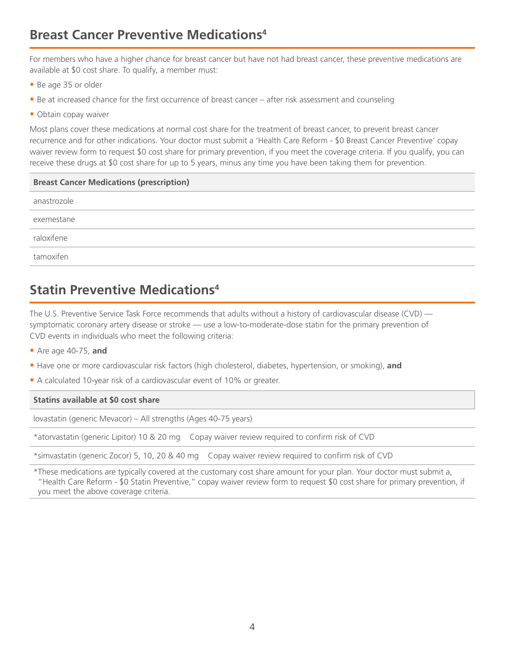## **Breast Cancer Preventive Medications4**

For members who have a higher chance for breast cancer but have not had breast cancer, these preventive medications are available at \$0 cost share. To qualify, a member must:

- Be age 35 or older
- Be at increased chance for the first occurrence of breast cancer after risk assessment and counseling
- Obtain copay waiver

Most plans cover these medications at normal cost share for the treatment of breast cancer, to prevent breast cancer recurrence and for other indications. Your doctor must submit a 'Health Care Reform - \$0 Breast Cancer Preventive' copay waiver review form to request \$0 cost share for primary prevention, if you meet the coverage criteria. If you qualify, you can receive these drugs at \$0 cost share for up to 5 years, minus any time you have been taking them for prevention.

| <b>Breast Cancer Medications (prescription)</b> |
|-------------------------------------------------|
| anastrozole                                     |
| exemestane                                      |
| raloxifene                                      |
| tamoxifen                                       |
|                                                 |

# **Statin Preventive Medications4**

The U.S. Preventive Service Task Force recommends that adults without a history of cardiovascular disease (CVD) symptomatic coronary artery disease or stroke — use a low-to-moderate-dose statin for the primary prevention of CVD events in individuals who meet the following criteria:

- Are age 40-75, **and**
- Have one or more cardiovascular risk factors (high cholesterol, diabetes, hypertension, or smoking), **and**
- A calculated 10-year risk of a cardiovascular event of 10% or greater.

#### **Statins available at \$0 cost share**

lovastatin (generic Mevacor) – All strengths (Ages 40-75 years)

\*atorvastatin (generic Lipitor) 10 & 20 mg Copay waiver review required to confirm risk of CVD

\*simvastatin (generic Zocor) 5, 10, 20 & 40 mg Copay waiver review required to confirm risk of CVD

\*These medications are typically covered at the customary cost share amount for your plan. Your doctor must submit a, "Health Care Reform - \$0 Statin Preventive," copay waiver review form to request \$0 cost share for primary prevention, if you meet the above coverage criteria.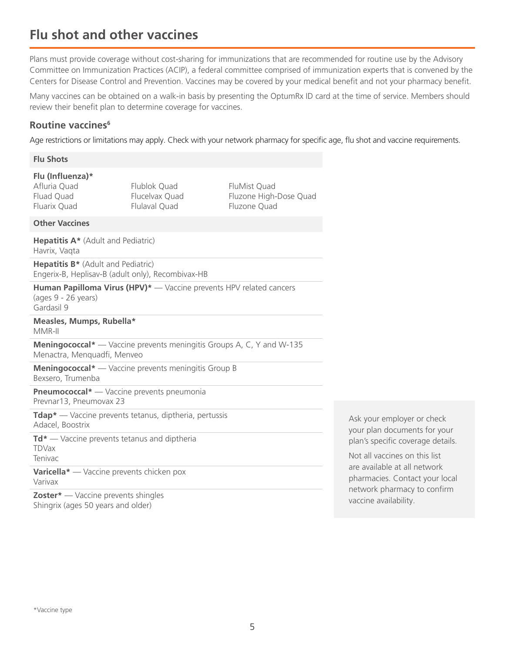### **Flu shot and other vaccines**

Plans must provide coverage without cost-sharing for immunizations that are recommended for routine use by the Advisory Committee on Immunization Practices (ACIP), a federal committee comprised of immunization experts that is convened by the Centers for Disease Control and Prevention. Vaccines may be covered by your medical benefit and not your pharmacy benefit.

Many vaccines can be obtained on a walk-in basis by presenting the OptumRx ID card at the time of service. Members should review their benefit plan to determine coverage for vaccines.

#### **Routine vaccines6**

Age restrictions or limitations may apply. Check with your network pharmacy for specific age, flu shot and vaccine requirements.

#### **Flu Shots**

#### **Flu (Influenza)\***

Afluria Quad Fluad Quad Fluarix Quad Flublok Quad Flucelvax Quad Flulaval Quad

FluMist Quad Fluzone High-Dose Quad Fluzone Quad

#### **Other Vaccines**

**Hepatitis A\*** (Adult and Pediatric) Havrix, Vaqta

**Hepatitis B\*** (Adult and Pediatric) Engerix-B, Heplisav-B (adult only), Recombivax-HB

**Human Papilloma Virus (HPV)\*** — Vaccine prevents HPV related cancers (ages 9 - 26 years) Gardasil 9

#### **Measles, Mumps, Rubella\*** MMR-II

**Meningococcal\*** — Vaccine prevents meningitis Groups A, C, Y and W-135 Menactra, Menquadfi, Menveo

**Meningococcal\*** — Vaccine prevents meningitis Group B Bexsero, Trumenba

**Pneumococcal\*** — Vaccine prevents pneumonia Prevnar13, Pneumovax 23

**Tdap\*** — Vaccine prevents tetanus, diptheria, pertussis Adacel, Boostrix

**Td\*** — Vaccine prevents tetanus and diptheria TDVax Tenivac

**Varicella\*** — Vaccine prevents chicken pox Varivax

**Zoster\*** — Vaccine prevents shingles Shingrix (ages 50 years and older)

Ask your employer or check your plan documents for your plan's specific coverage details.

Not all vaccines on this list are available at all network pharmacies. Contact your local network pharmacy to confirm vaccine availability.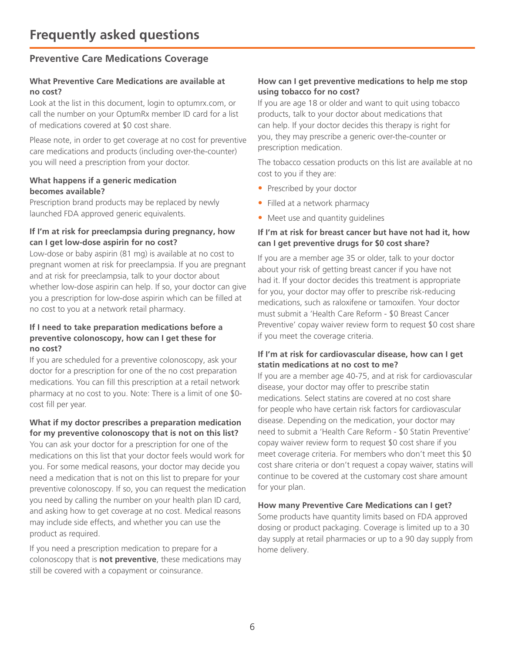#### **Preventive Care Medications Coverage**

#### **What Preventive Care Medications are available at no cost?**

Look at the list in this document, login to optumrx.com, or call the number on your OptumRx member ID card for a list of medications covered at \$0 cost share.

Please note, in order to get coverage at no cost for preventive care medications and products (including over-the-counter) you will need a prescription from your doctor.

#### **What happens if a generic medication becomes available?**

Prescription brand products may be replaced by newly launched FDA approved generic equivalents.

#### **If I'm at risk for preeclampsia during pregnancy, how can I get low-dose aspirin for no cost?**

Low-dose or baby aspirin (81 mg) is available at no cost to pregnant women at risk for preeclampsia. If you are pregnant and at risk for preeclampsia, talk to your doctor about whether low-dose aspirin can help. If so, your doctor can give you a prescription for low-dose aspirin which can be filled at no cost to you at a network retail pharmacy.

#### **If I need to take preparation medications before a preventive colonoscopy, how can I get these for no cost?**

If you are scheduled for a preventive colonoscopy, ask your doctor for a prescription for one of the no cost preparation medications. You can fill this prescription at a retail network pharmacy at no cost to you. Note: There is a limit of one \$0 cost fill per year.

### **What if my doctor prescribes a preparation medication**

**for my preventive colonoscopy that is not on this list?** You can ask your doctor for a prescription for one of the medications on this list that your doctor feels would work for you. For some medical reasons, your doctor may decide you need a medication that is not on this list to prepare for your preventive colonoscopy. If so, you can request the medication you need by calling the number on your health plan ID card, and asking how to get coverage at no cost. Medical reasons may include side effects, and whether you can use the product as required.

If you need a prescription medication to prepare for a colonoscopy that is **not preventive**, these medications may still be covered with a copayment or coinsurance.

#### **How can I get preventive medications to help me stop using tobacco for no cost?**

If you are age 18 or older and want to quit using tobacco products, talk to your doctor about medications that can help. If your doctor decides this therapy is right for you, they may prescribe a generic over-the-counter or prescription medication.

The tobacco cessation products on this list are available at no cost to you if they are:

- Prescribed by your doctor
- Filled at a network pharmacy
- Meet use and quantity quidelines

#### **If I'm at risk for breast cancer but have not had it, how can I get preventive drugs for \$0 cost share?**

If you are a member age 35 or older, talk to your doctor about your risk of getting breast cancer if you have not had it. If your doctor decides this treatment is appropriate for you, your doctor may offer to prescribe risk-reducing medications, such as raloxifene or tamoxifen. Your doctor must submit a 'Health Care Reform - \$0 Breast Cancer Preventive' copay waiver review form to request \$0 cost share if you meet the coverage criteria.

#### **If I'm at risk for cardiovascular disease, how can I get statin medications at no cost to me?**

If you are a member age 40-75, and at risk for cardiovascular disease, your doctor may offer to prescribe statin medications. Select statins are covered at no cost share for people who have certain risk factors for cardiovascular disease. Depending on the medication, your doctor may need to submit a 'Health Care Reform - \$0 Statin Preventive' copay waiver review form to request \$0 cost share if you meet coverage criteria. For members who don't meet this \$0 cost share criteria or don't request a copay waiver, statins will continue to be covered at the customary cost share amount for your plan.

#### **How many Preventive Care Medications can I get?**

Some products have quantity limits based on FDA approved dosing or product packaging. Coverage is limited up to a 30 day supply at retail pharmacies or up to a 90 day supply from home delivery.